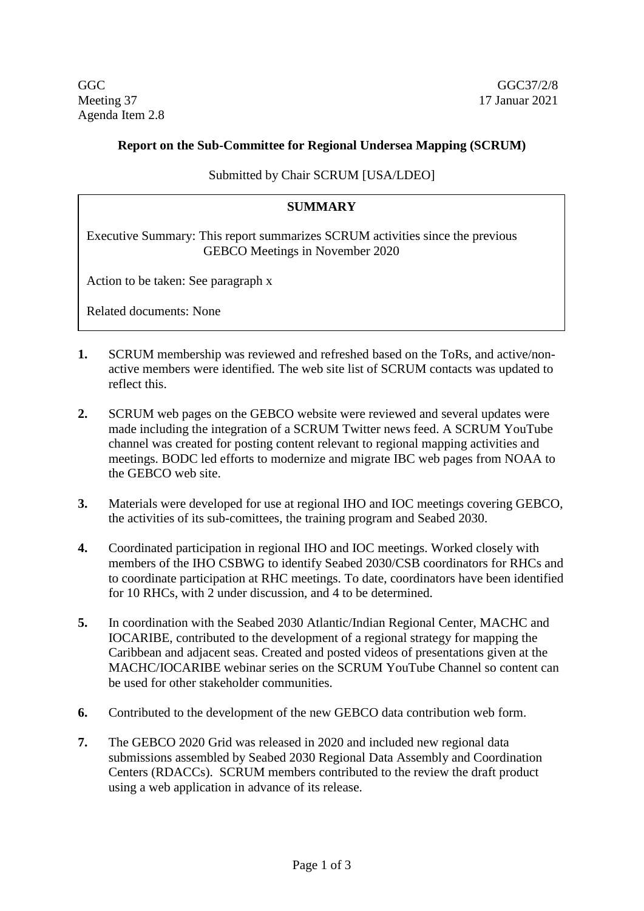GGC GGC37/2/8 Meeting 37 17 Januar 2021 Agenda Item 2.8

## **Report on the Sub-Committee for Regional Undersea Mapping (SCRUM)**

Submitted by Chair SCRUM [USA/LDEO]

## **SUMMARY**

Executive Summary: This report summarizes SCRUM activities since the previous GEBCO Meetings in November 2020

Action to be taken: See paragraph x

Related documents: None

- **1.** SCRUM membership was reviewed and refreshed based on the ToRs, and active/nonactive members were identified. The web site list of SCRUM contacts was updated to reflect this.
- **2.** SCRUM web pages on the GEBCO website were reviewed and several updates were made including the integration of a SCRUM Twitter news feed. A SCRUM YouTube channel was created for posting content relevant to regional mapping activities and meetings. BODC led efforts to modernize and migrate IBC web pages from NOAA to the GEBCO web site.
- **3.** Materials were developed for use at regional IHO and IOC meetings covering GEBCO, the activities of its sub-comittees, the training program and Seabed 2030.
- **4.** Coordinated participation in regional IHO and IOC meetings. Worked closely with members of the IHO CSBWG to identify Seabed 2030/CSB coordinators for RHCs and to coordinate participation at RHC meetings. To date, coordinators have been identified for 10 RHCs, with 2 under discussion, and 4 to be determined.
- **5.** In coordination with the Seabed 2030 Atlantic/Indian Regional Center, MACHC and IOCARIBE, contributed to the development of a regional strategy for mapping the Caribbean and adjacent seas. Created and posted videos of presentations given at the MACHC/IOCARIBE webinar series on the SCRUM YouTube Channel so content can be used for other stakeholder communities.
- **6.** Contributed to the development of the new GEBCO data contribution web form.
- **7.** The GEBCO 2020 Grid was released in 2020 and included new regional data submissions assembled by Seabed 2030 Regional Data Assembly and Coordination Centers (RDACCs). SCRUM members contributed to the review the draft product using a web application in advance of its release.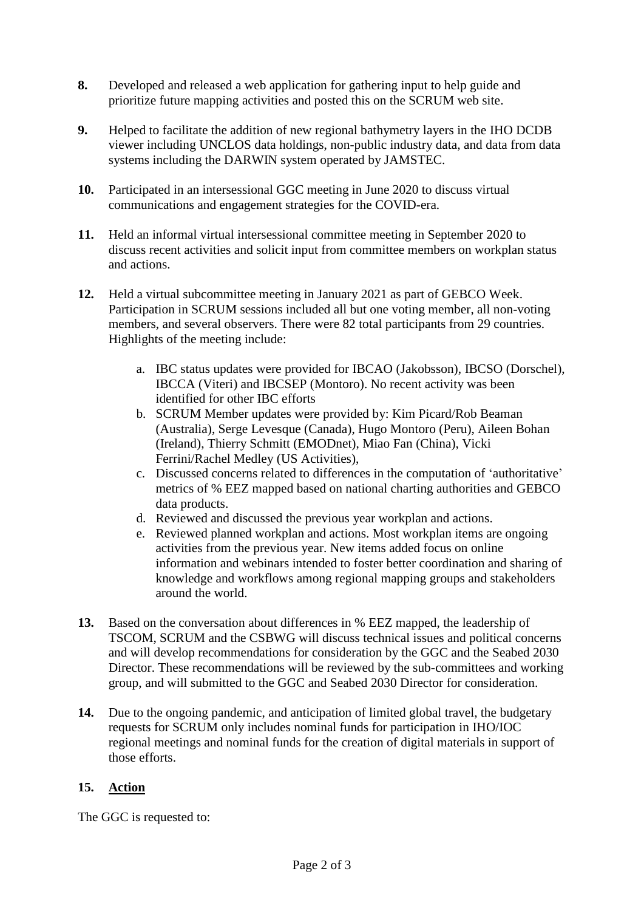- **8.** Developed and released a web application for gathering input to help guide and prioritize future mapping activities and posted this on the SCRUM web site.
- **9.** Helped to facilitate the addition of new regional bathymetry layers in the IHO DCDB viewer including UNCLOS data holdings, non-public industry data, and data from data systems including the DARWIN system operated by JAMSTEC.
- **10.** Participated in an intersessional GGC meeting in June 2020 to discuss virtual communications and engagement strategies for the COVID-era.
- **11.** Held an informal virtual intersessional committee meeting in September 2020 to discuss recent activities and solicit input from committee members on workplan status and actions.
- **12.** Held a virtual subcommittee meeting in January 2021 as part of GEBCO Week. Participation in SCRUM sessions included all but one voting member, all non-voting members, and several observers. There were 82 total participants from 29 countries. Highlights of the meeting include:
	- a. IBC status updates were provided for IBCAO (Jakobsson), IBCSO (Dorschel), IBCCA (Viteri) and IBCSEP (Montoro). No recent activity was been identified for other IBC efforts
	- b. SCRUM Member updates were provided by: Kim Picard/Rob Beaman (Australia), Serge Levesque (Canada), Hugo Montoro (Peru), Aileen Bohan (Ireland), Thierry Schmitt (EMODnet), Miao Fan (China), Vicki Ferrini/Rachel Medley (US Activities),
	- c. Discussed concerns related to differences in the computation of 'authoritative' metrics of % EEZ mapped based on national charting authorities and GEBCO data products.
	- d. Reviewed and discussed the previous year workplan and actions.
	- e. Reviewed planned workplan and actions. Most workplan items are ongoing activities from the previous year. New items added focus on online information and webinars intended to foster better coordination and sharing of knowledge and workflows among regional mapping groups and stakeholders around the world.
- **13.** Based on the conversation about differences in % EEZ mapped, the leadership of TSCOM, SCRUM and the CSBWG will discuss technical issues and political concerns and will develop recommendations for consideration by the GGC and the Seabed 2030 Director. These recommendations will be reviewed by the sub-committees and working group, and will submitted to the GGC and Seabed 2030 Director for consideration.
- **14.** Due to the ongoing pandemic, and anticipation of limited global travel, the budgetary requests for SCRUM only includes nominal funds for participation in IHO/IOC regional meetings and nominal funds for the creation of digital materials in support of those efforts.

## **15. Action**

The GGC is requested to: